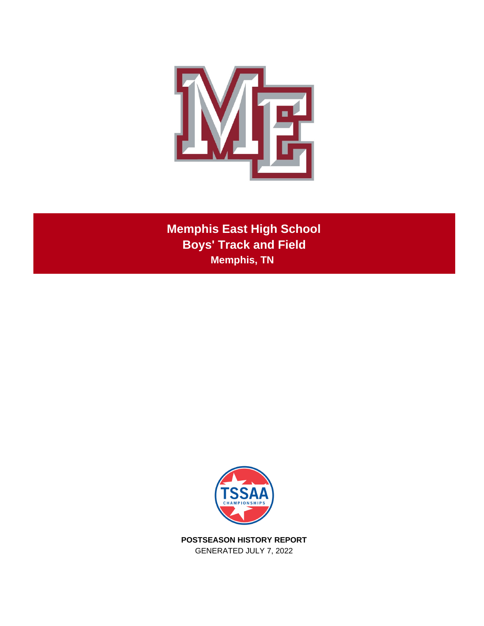

**Memphis East High School Boys' Track and Field Memphis, TN** 



**POSTSEASON HISTORY REPORT** GENERATED JULY 7, 2022